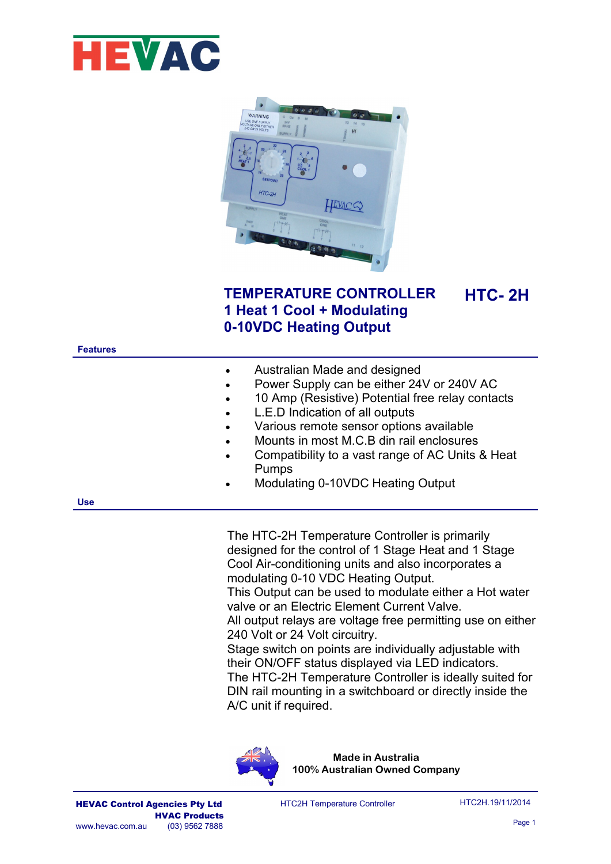



## **TEMPERATURE CONTROLLER 1 Heat 1 Cool + Modulating 0-10VDC Heating Output**

**Features**

| Australian Made and designed              |  |  |
|-------------------------------------------|--|--|
| Power Supply can be either 24V or 240V AC |  |  |

- 10 Amp (Resistive) Potential free relay contacts
- L.E.D Indication of all outputs
- Various remote sensor options available
- Mounts in most M.C.B din rail enclosures
- Compatibility to a vast range of AC Units & Heat Pumps
- Modulating 0-10VDC Heating Output

**Use**

The HTC-2H Temperature Controller is primarily designed for the control of 1 Stage Heat and 1 Stage Cool Air-conditioning units and also incorporates a modulating 0-10 VDC Heating Output.

This Output can be used to modulate either a Hot water valve or an Electric Element Current Valve.

All output relays are voltage free permitting use on either 240 Volt or 24 Volt circuitry.

Stage switch on points are individually adjustable with their ON/OFF status displayed via LED indicators. The HTC-2H Temperature Controller is ideally suited for DIN rail mounting in a switchboard or directly inside the A/C unit if required.



**HTC- 2H**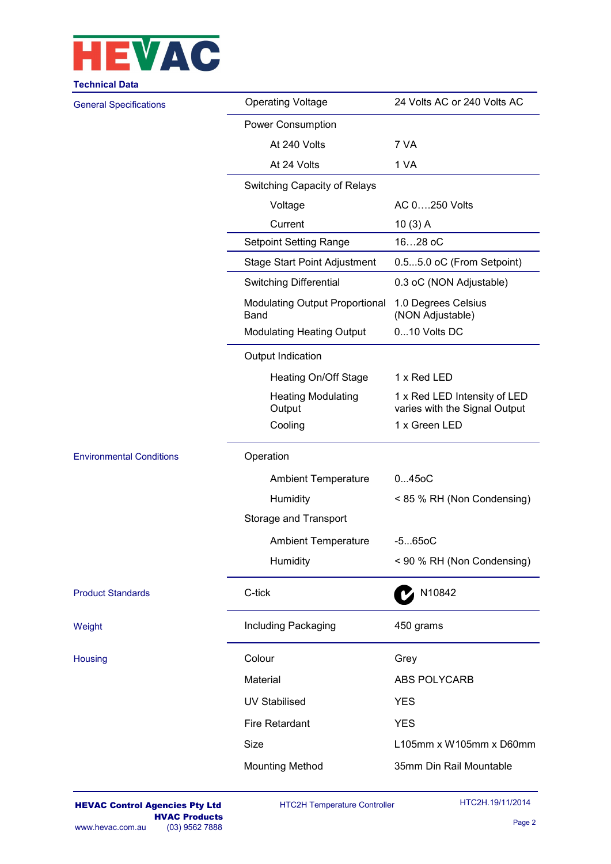

| <b>Technical Data</b>           |                                               |                                                               |
|---------------------------------|-----------------------------------------------|---------------------------------------------------------------|
| <b>General Specifications</b>   | <b>Operating Voltage</b>                      | 24 Volts AC or 240 Volts AC                                   |
|                                 | <b>Power Consumption</b>                      |                                                               |
|                                 | At 240 Volts                                  | 7 VA                                                          |
|                                 | At 24 Volts                                   | 1 VA                                                          |
|                                 | Switching Capacity of Relays                  |                                                               |
|                                 | Voltage                                       | AC 0250 Volts                                                 |
|                                 | Current                                       | 10(3) A                                                       |
|                                 | <b>Setpoint Setting Range</b>                 | 1628 oC                                                       |
|                                 | <b>Stage Start Point Adjustment</b>           | 0.55.0 oC (From Setpoint)                                     |
|                                 | <b>Switching Differential</b>                 | 0.3 oC (NON Adjustable)                                       |
|                                 | <b>Modulating Output Proportional</b><br>Band | 1.0 Degrees Celsius<br>(NON Adjustable)                       |
|                                 | <b>Modulating Heating Output</b>              | 010 Volts DC                                                  |
|                                 | Output Indication                             |                                                               |
|                                 | Heating On/Off Stage                          | 1 x Red LED                                                   |
|                                 | <b>Heating Modulating</b><br>Output           | 1 x Red LED Intensity of LED<br>varies with the Signal Output |
|                                 | Cooling                                       | 1 x Green LED                                                 |
| <b>Environmental Conditions</b> | Operation                                     |                                                               |
|                                 | <b>Ambient Temperature</b>                    | 0450C                                                         |
|                                 | Humidity                                      | < 85 % RH (Non Condensing)                                    |
|                                 | Storage and Transport                         |                                                               |
|                                 | <b>Ambient Temperature</b>                    | $-5650C$                                                      |
|                                 | Humidity                                      | < 90 % RH (Non Condensing)                                    |
| <b>Product Standards</b>        | C-tick                                        | N10842                                                        |
| Weight                          | Including Packaging                           | 450 grams                                                     |
| Housing                         | Colour                                        | Grey                                                          |
|                                 | Material                                      | ABS POLYCARB                                                  |
|                                 | <b>UV Stabilised</b>                          | <b>YES</b>                                                    |
|                                 | <b>Fire Retardant</b>                         | <b>YES</b>                                                    |
|                                 | <b>Size</b>                                   | L105mm x W105mm x D60mm                                       |
|                                 | <b>Mounting Method</b>                        | 35mm Din Rail Mountable                                       |
|                                 |                                               |                                                               |

HTC2H Temperature Controller

HTC2H.19/11/2014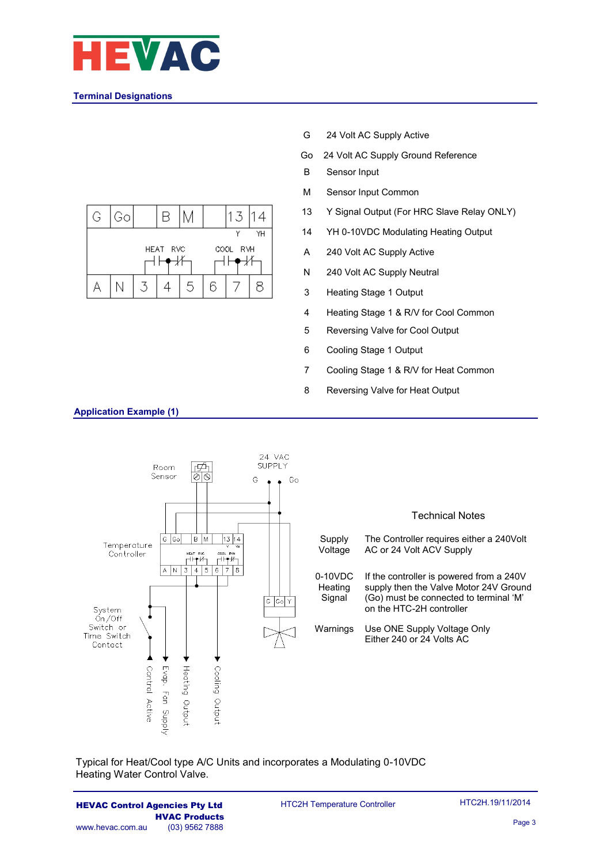

## **Terminal Designations**



- G 24 Volt AC Supply Active
- Go 24 Volt AC Supply Ground Reference
- B Sensor Input
- M Sensor Input Common
- 13 Y Signal Output (For HRC Slave Relay ONLY)
- 14 YH 0-10VDC Modulating Heating Output
- A 240 Volt AC Supply Active
- N 240 Volt AC Supply Neutral
- 3 Heating Stage 1 Output
- 4 Heating Stage 1 & R/V for Cool Common
- 5 Reversing Valve for Cool Output
- 6 Cooling Stage 1 Output
- 7 Cooling Stage 1 & R/V for Heat Common
- 8 Reversing Valve for Heat Output



Typical for Heat/Cool type A/C Units and incorporates a Modulating 0-10VDC Heating Water Control Valve.

HEVAC Control Agencies Pty Ltd **HVAC Products**<br>(03) 9562 7888 www.hevac.com.au

HTC2H Temperature Controller

**Application Example (1)**